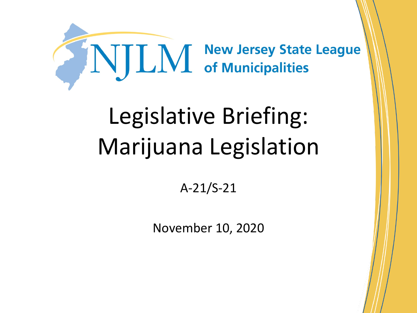

# Legislative Briefing: Marijuana Legislation

A-21/S-21

November 10, 2020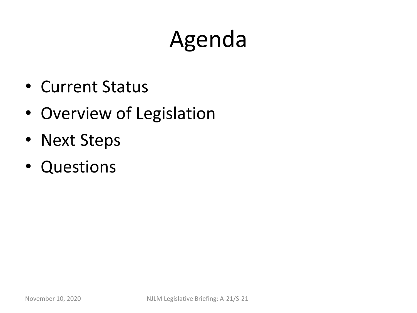# Agenda

- Current Status
- Overview of Legislation
- Next Steps
- Questions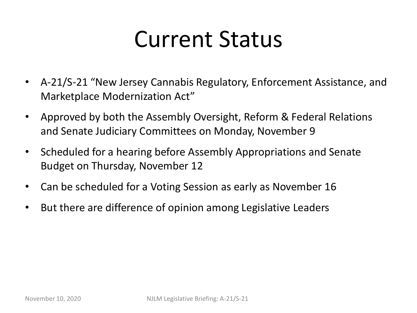#### Current Status

- A-21/S-21 "New Jersey Cannabis Regulatory, Enforcement Assistance, and Marketplace Modernization Act"
- Approved by both the Assembly Oversight, Reform & Federal Relations and Senate Judiciary Committees on Monday, November 9
- Scheduled for a hearing before Assembly Appropriations and Senate Budget on Thursday, November 12
- Can be scheduled for a Voting Session as early as November 16
- But there are difference of opinion among Legislative Leaders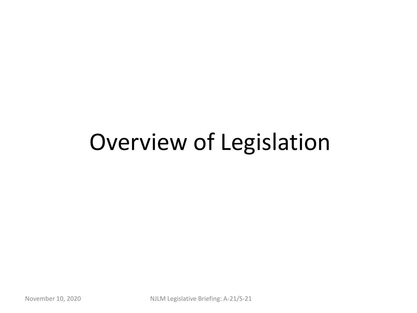#### Overview of Legislation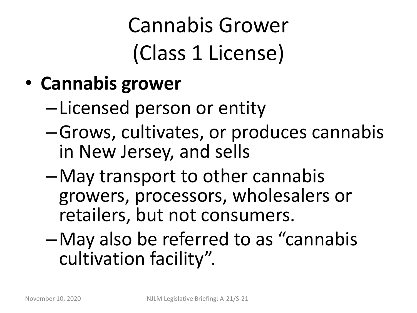## Cannabis Grower (Class 1 License)

- **Cannabis grower**
	- –Licensed person or entity
	- –Grows, cultivates, or produces cannabis in New Jersey, and sells
	- –May transport to other cannabis growers, processors, wholesalers or retailers, but not consumers.
	- –May also be referred to as "cannabis cultivation facility".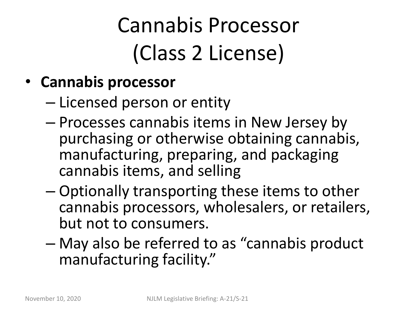#### Cannabis Processor (Class 2 License)

- **Cannabis processor**
	- Licensed person or entity
	- Processes cannabis items in New Jersey by purchasing or otherwise obtaining cannabis, manufacturing, preparing, and packaging cannabis items, and selling
	- Optionally transporting these items to other cannabis processors, wholesalers, or retailers, but not to consumers.
	- May also be referred to as "cannabis product manufacturing facility."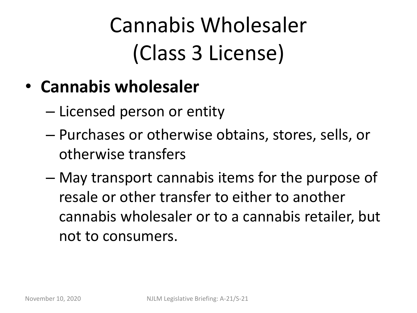#### Cannabis Wholesaler (Class 3 License)

- **Cannabis wholesaler**
	- Licensed person or entity
	- Purchases or otherwise obtains, stores, sells, or otherwise transfers
	- May transport cannabis items for the purpose of resale or other transfer to either to another cannabis wholesaler or to a cannabis retailer, but not to consumers.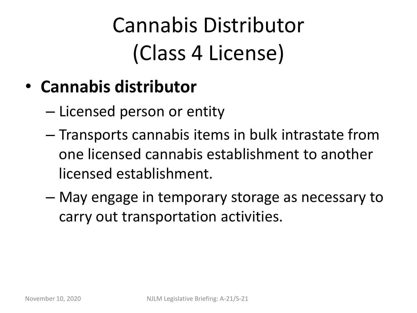#### Cannabis Distributor (Class 4 License)

- **Cannabis distributor**
	- Licensed person or entity
	- Transports cannabis items in bulk intrastate from one licensed cannabis establishment to another licensed establishment.
	- May engage in temporary storage as necessary to carry out transportation activities.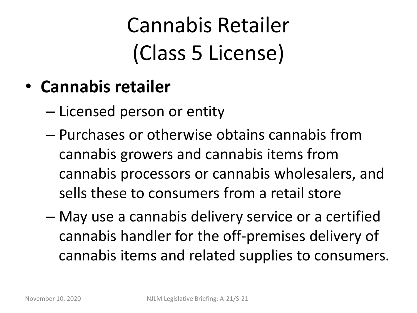#### Cannabis Retailer (Class 5 License)

- **Cannabis retailer**
	- Licensed person or entity
	- Purchases or otherwise obtains cannabis from cannabis growers and cannabis items from cannabis processors or cannabis wholesalers, and sells these to consumers from a retail store
	- May use a cannabis delivery service or a certified cannabis handler for the off-premises delivery of cannabis items and related supplies to consumers.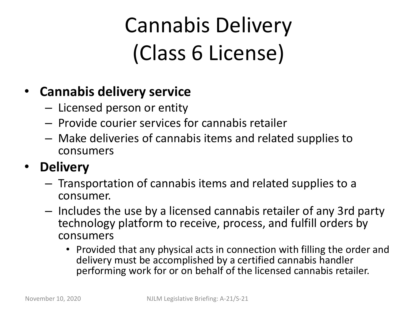#### Cannabis Delivery (Class 6 License)

#### • **Cannabis delivery service**

- Licensed person or entity
- Provide courier services for cannabis retailer
- Make deliveries of cannabis items and related supplies to consumers

#### • **Delivery**

- Transportation of cannabis items and related supplies to a consumer.
- Includes the use by a licensed cannabis retailer of any 3rd party technology platform to receive, process, and fulfill orders by consumers
	- Provided that any physical acts in connection with filling the order and delivery must be accomplished by a certified cannabis handler performing work for or on behalf of the licensed cannabis retailer.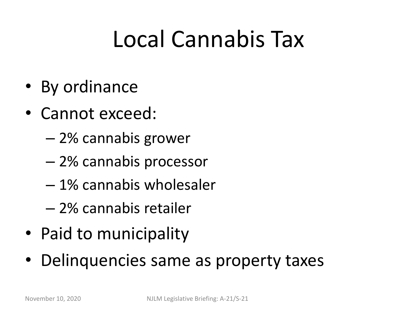#### Local Cannabis Tax

- By ordinance
- Cannot exceed:
	- 2% cannabis grower
	- 2% cannabis processor
	- 1% cannabis wholesaler
	- 2% cannabis retailer
- Paid to municipality
- Delinquencies same as property taxes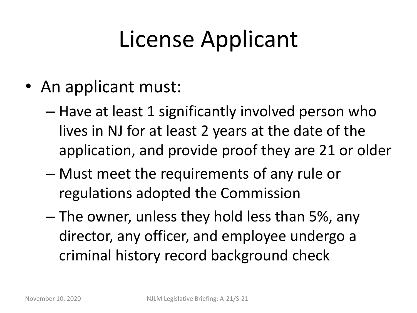# License Applicant

- An applicant must:
	- Have at least 1 significantly involved person who lives in NJ for at least 2 years at the date of the application, and provide proof they are 21 or older
	- Must meet the requirements of any rule or regulations adopted the Commission
	- The owner, unless they hold less than 5%, any director, any officer, and employee undergo a criminal history record background check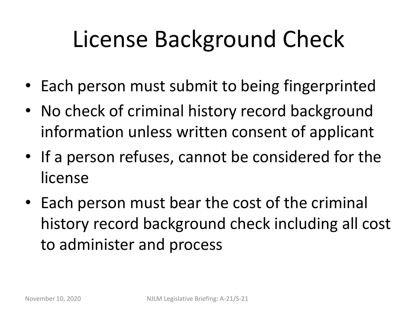# License Background Check

- Each person must submit to being fingerprinted
- No check of criminal history record background information unless written consent of applicant
- If a person refuses, cannot be considered for the license
- Each person must bear the cost of the criminal history record background check including all cost to administer and process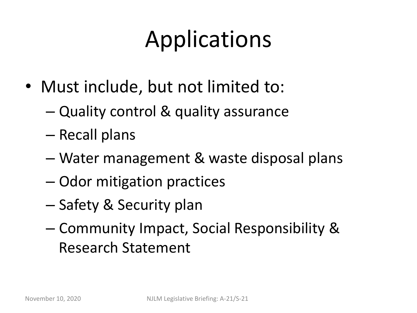# Applications

- Must include, but not limited to:
	- Quality control & quality assurance
	- Recall plans
	- Water management & waste disposal plans
	- Odor mitigation practices
	- Safety & Security plan
	- Community Impact, Social Responsibility & Research Statement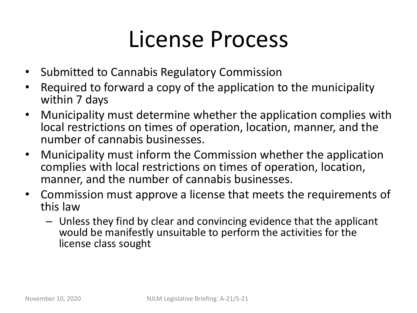#### License Process

- Submitted to Cannabis Regulatory Commission
- Required to forward a copy of the application to the municipality within 7 days
- Municipality must determine whether the application complies with local restrictions on times of operation, location, manner, and the number of cannabis businesses.
- Municipality must inform the Commission whether the application complies with local restrictions on times of operation, location, manner, and the number of cannabis businesses.
- Commission must approve a license that meets the requirements of this law
	- Unless they find by clear and convincing evidence that the applicant would be manifestly unsuitable to perform the activities for the license class sought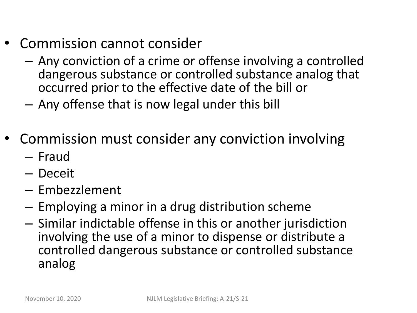- Commission cannot consider
	- Any conviction of a crime or offense involving a controlled dangerous substance or controlled substance analog that occurred prior to the effective date of the bill or
	- Any offense that is now legal under this bill
- Commission must consider any conviction involving
	- Fraud
	- Deceit
	- Embezzlement
	- Employing a minor in a drug distribution scheme
	- Similar indictable offense in this or another jurisdiction involving the use of a minor to dispense or distribute a controlled dangerous substance or controlled substance analog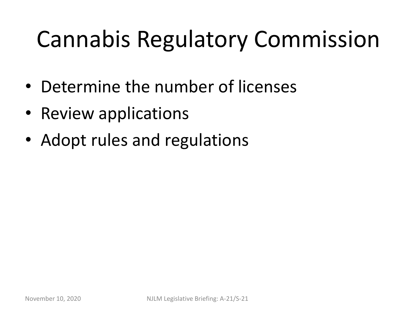# Cannabis Regulatory Commission

- Determine the number of licenses
- Review applications
- Adopt rules and regulations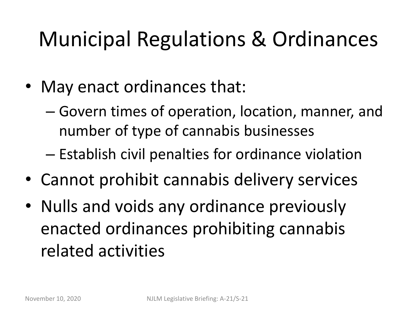#### Municipal Regulations & Ordinances

- May enact ordinances that:
	- Govern times of operation, location, manner, and number of type of cannabis businesses
	- Establish civil penalties for ordinance violation
- Cannot prohibit cannabis delivery services
- Nulls and voids any ordinance previously enacted ordinances prohibiting cannabis related activities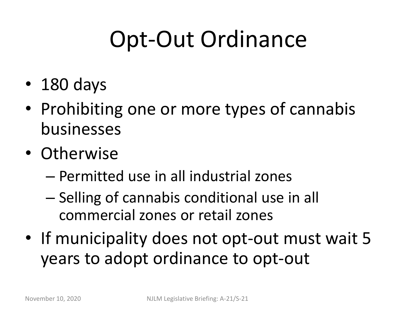## Opt-Out Ordinance

- 180 days
- Prohibiting one or more types of cannabis businesses
- Otherwise
	- Permitted use in all industrial zones
	- Selling of cannabis conditional use in all commercial zones or retail zones
- If municipality does not opt-out must wait 5 years to adopt ordinance to opt-out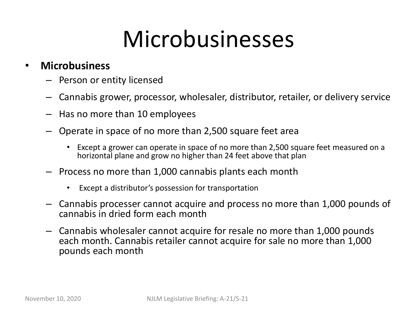#### Microbusinesses

#### • **Microbusiness**

- Person or entity licensed
- Cannabis grower, processor, wholesaler, distributor, retailer, or delivery service
- Has no more than 10 employees
- Operate in space of no more than 2,500 square feet area
	- Except a grower can operate in space of no more than 2,500 square feet measured on a horizontal plane and grow no higher than 24 feet above that plan
- Process no more than 1,000 cannabis plants each month
	- Except a distributor's possession for transportation
- Cannabis processer cannot acquire and process no more than 1,000 pounds of cannabis in dried form each month
- Cannabis wholesaler cannot acquire for resale no more than 1,000 pounds each month. Cannabis retailer cannot acquire for sale no more than 1,000 pounds each month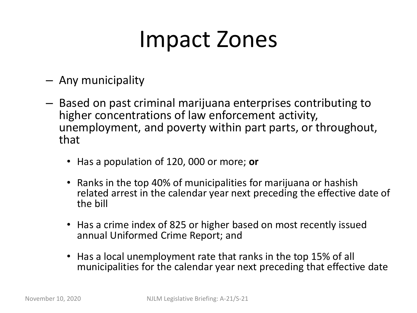#### Impact Zones

- Any municipality
- Based on past criminal marijuana enterprises contributing to higher concentrations of law enforcement activity, unemployment, and poverty within part parts, or throughout, that
	- Has a population of 120, 000 or more; **or**
	- Ranks in the top 40% of municipalities for marijuana or hashish related arrest in the calendar year next preceding the effective date of the bill
	- Has a crime index of 825 or higher based on most recently issued annual Uniformed Crime Report; and
	- Has a local unemployment rate that ranks in the top 15% of all municipalities for the calendar year next preceding that effective date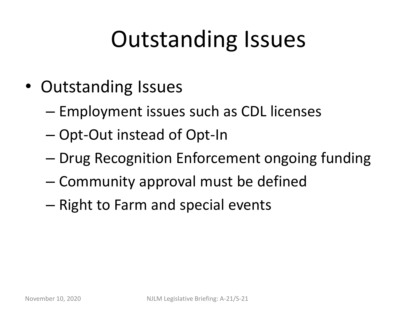#### Outstanding Issues

- Outstanding Issues
	- Employment issues such as CDL licenses
	- Opt-Out instead of Opt-In
	- Drug Recognition Enforcement ongoing funding
	- Community approval must be defined
	- Right to Farm and special events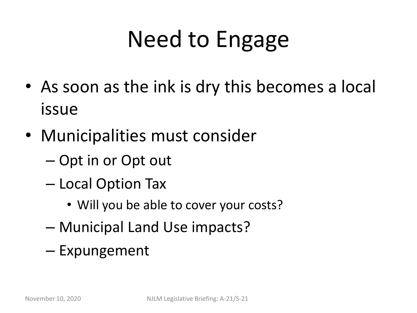# Need to Engage

- As soon as the ink is dry this becomes a local issue
- Municipalities must consider
	- Opt in or Opt out
	- Local Option Tax
		- Will you be able to cover your costs?
	- Municipal Land Use impacts?
	- Expungement